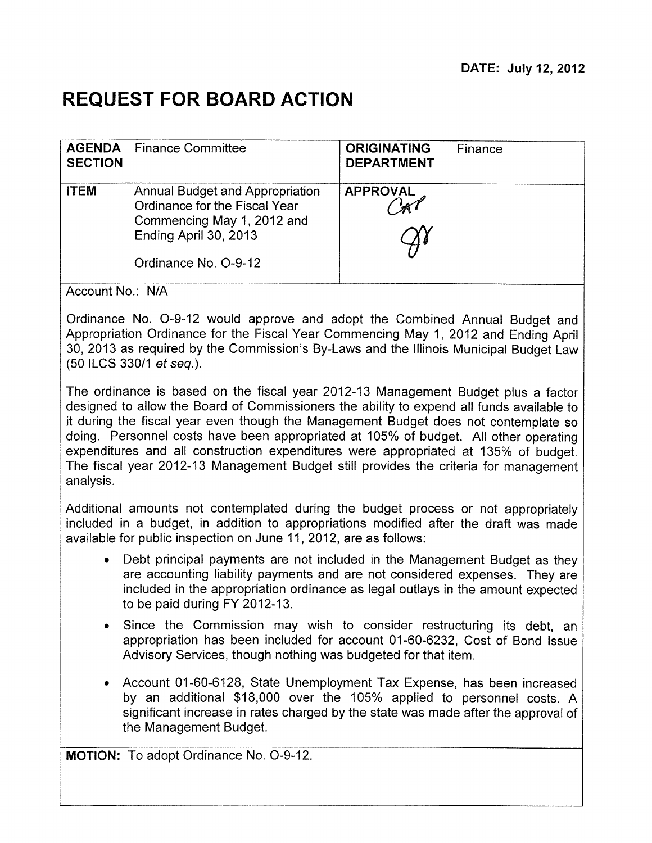# **REQUEST FOR BOARD ACTION**

| <b>SECTION</b> | <b>AGENDA</b> Finance Committee                                                                                                                        | <b>ORIGINATING</b><br><b>DEPARTMENT</b> | Finance |
|----------------|--------------------------------------------------------------------------------------------------------------------------------------------------------|-----------------------------------------|---------|
| <b>ITEM</b>    | <b>Annual Budget and Appropriation</b><br>Ordinance for the Fiscal Year<br>Commencing May 1, 2012 and<br>Ending April 30, 2013<br>Ordinance No. O-9-12 | <b>APPROVAL</b>                         |         |

Account No.: N/A

Ordinance No. 0-9-12 would approve and adopt the Combined Annual Budget and Appropriation Ordinance for the Fiscal Year Commencing May 1, 2012 and Ending April 30, 2013 as required by the Commission's By-Laws and the Illinois Municipal Budget Law (50 ILCS 330/1 et seq.).

The ordinance is based on the fiscal year 2012-13 Management Budget plus a factor designed to allow the Board of Commissioners the ability to expend all funds available to it during the fiscal year even though the Management Budget does not contemplate so doing. Personnel costs have been appropriated at 105% of budget. All other operating expenditures and all construction expenditures were appropriated at 135% of budget. The fiscal year 2012-13 Management Budget still provides the criteria for management analysis.

Additional amounts not contemplated during the budget process or not appropriately included in a budget, in addition to appropriations modified after the draft was made available for public inspection on June 11, 2012, are as follows:

- Debt principal payments are not included in the Management Budget as they are accounting liability payments and are not considered expenses. They are included in the appropriation ordinance as legal outlays in the amount expected to be paid during FY 2012-13.
- Since the Commission may wish to consider restructuring its debt, an appropriation has been included for account 01-60-6232, Cost of Bond Issue Advisory Services, though nothing was budgeted for that item.
- Account 01-60-6128, State Unemployment Tax Expense, has been increased by an additional \$18,000 over the 105% applied to personnel costs. A significant increase in rates charged by the state was made after the approval of the Management Budget.

**MOTION:** To adopt Ordinance No. 0-9-12.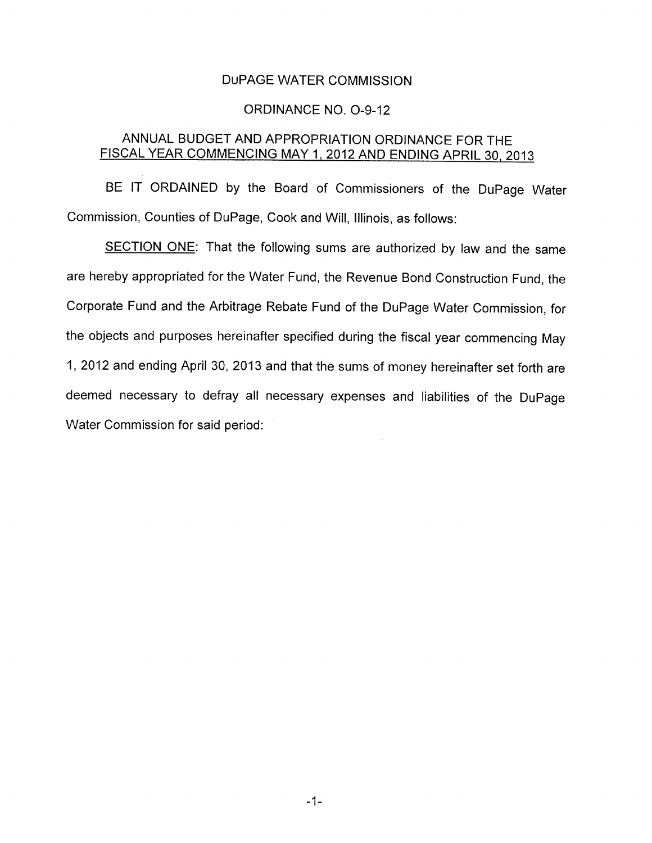## DuPAGE WATER COMMISSION

#### ORDINANCE NO. 0-9-12

## ANNUAL BUDGET AND APPROPRIATION ORDINANCE FOR THE FISCAL YEAR COMMENCING MAY 1. 2012 AND ENDING APRIL 30. 2013

BE IT ORDAINED by the Board of Commissioners of the DuPage Water Commission, Counties of DuPage, Cook and Will, Illinois, as follows:

SECTION ONE: That the following sums are authorized by law and the same are hereby appropriated for the Water Fund, the Revenue Bond Construction Fund, the Corporate Fund and the Arbitrage Rebate Fund of the DuPage Water Commission, for the objects and purposes hereinafter specified during the fiscal year commencing May 1, 2012 and ending April 30, 2013 and that the sums of money hereinafter set forth are deemed necessary to defray all necessary expenses and liabilities of the DuPage Water Commission for said period: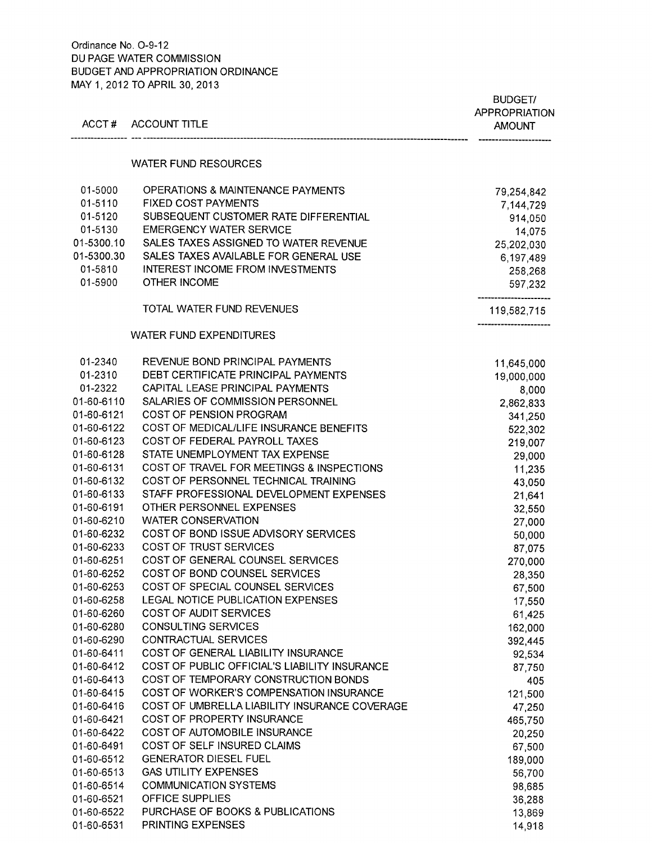### Ordinance No. 0-9-12 DU PAGE WATER GOMMISSION BUDGET AND APPROPRIATION ORDINANCE MAY 1, 2012 TO APRIL 30, 2013

| ACCT#                    | <b>ACCOUNT TITLE</b>                                        | <b>BUDGET/</b><br><b>APPROPRIATION</b><br><b>AMOUNT</b> |
|--------------------------|-------------------------------------------------------------|---------------------------------------------------------|
|                          | <b>WATER FUND RESOURCES</b>                                 |                                                         |
|                          |                                                             |                                                         |
| 01-5000                  | OPERATIONS & MAINTENANCE PAYMENTS                           | 79,254,842                                              |
| 01-5110                  | <b>FIXED COST PAYMENTS</b>                                  | 7,144,729                                               |
| 01-5120                  | SUBSEQUENT CUSTOMER RATE DIFFERENTIAL                       | 914,050                                                 |
| 01-5130                  | <b>EMERGENCY WATER SERVICE</b>                              | 14,075                                                  |
| 01-5300.10               | SALES TAXES ASSIGNED TO WATER REVENUE                       | 25,202,030                                              |
| 01-5300.30               | SALES TAXES AVAILABLE FOR GENERAL USE                       | 6,197,489                                               |
| 01-5810                  | <b>INTEREST INCOME FROM INVESTMENTS</b>                     | 258,268                                                 |
| 01-5900                  | OTHER INCOME                                                | 597,232                                                 |
|                          | <b>TOTAL WATER FUND REVENUES</b>                            | 119,582,715                                             |
|                          | <b>WATER FUND EXPENDITURES</b>                              |                                                         |
| 01-2340                  | REVENUE BOND PRINCIPAL PAYMENTS                             | 11,645,000                                              |
| 01-2310                  | DEBT CERTIFICATE PRINCIPAL PAYMENTS                         | 19,000,000                                              |
| 01-2322                  | CAPITAL LEASE PRINCIPAL PAYMENTS                            | 8,000                                                   |
| 01-60-6110               | SALARIES OF COMMISSION PERSONNEL                            | 2,862,833                                               |
| 01-60-6121               | COST OF PENSION PROGRAM                                     | 341,250                                                 |
| 01-60-6122               | COST OF MEDICAL/LIFE INSURANCE BENEFITS                     | 522,302                                                 |
| 01-60-6123               | COST OF FEDERAL PAYROLL TAXES                               | 219,007                                                 |
| 01-60-6128               | STATE UNEMPLOYMENT TAX EXPENSE                              | 29,000                                                  |
| 01-60-6131               | COST OF TRAVEL FOR MEETINGS & INSPECTIONS                   | 11,235                                                  |
| 01-60-6132               | COST OF PERSONNEL TECHNICAL TRAINING                        | 43,050                                                  |
| 01-60-6133               | STAFF PROFESSIONAL DEVELOPMENT EXPENSES                     | 21,641                                                  |
| 01-60-6191               | OTHER PERSONNEL EXPENSES                                    | 32,550                                                  |
| 01-60-6210               | <b>WATER CONSERVATION</b>                                   | 27,000                                                  |
| 01-60-6232               | COST OF BOND ISSUE ADVISORY SERVICES                        | 50,000                                                  |
| 01-60-6233               | COST OF TRUST SERVICES                                      | 87,075                                                  |
| 01-60-6251               | COST OF GENERAL COUNSEL SERVICES                            | 270,000                                                 |
| 01-60-6252               | COST OF BOND COUNSEL SERVICES                               | 28,350                                                  |
| 01-60-6253               | COST OF SPECIAL COUNSEL SERVICES                            | 67,500                                                  |
| 01-60-6258               | LEGAL NOTICE PUBLICATION EXPENSES<br>COST OF AUDIT SERVICES | 17,550                                                  |
| 01-60-6260<br>01-60-6280 | <b>CONSULTING SERVICES</b>                                  | 61,425                                                  |
| 01-60-6290               | CONTRACTUAL SERVICES                                        | 162,000<br>392,445                                      |
| 01-60-6411               | COST OF GENERAL LIABILITY INSURANCE                         | 92,534                                                  |
| 01-60-6412               | COST OF PUBLIC OFFICIAL'S LIABILITY INSURANCE               | 87,750                                                  |
| 01-60-6413               | COST OF TEMPORARY CONSTRUCTION BONDS                        | 405                                                     |
| 01-60-6415               | COST OF WORKER'S COMPENSATION INSURANCE                     | 121,500                                                 |
| 01-60-6416               | COST OF UMBRELLA LIABILITY INSURANCE COVERAGE               | 47,250                                                  |
| 01-60-6421               | COST OF PROPERTY INSURANCE                                  | 465,750                                                 |
| 01-60-6422               | COST OF AUTOMOBILE INSURANCE                                | 20,250                                                  |
| 01-60-6491               | COST OF SELF INSURED CLAIMS                                 | 67,500                                                  |
| 01-60-6512               | <b>GENERATOR DIESEL FUEL</b>                                | 189,000                                                 |
| 01-60-6513               | <b>GAS UTILITY EXPENSES</b>                                 | 56,700                                                  |
| 01-60-6514               | <b>COMMUNICATION SYSTEMS</b>                                | 98,685                                                  |
| 01-60-6521               | OFFICE SUPPLIES                                             | 36,288                                                  |
| 01-60-6522               | PURCHASE OF BOOKS & PUBLICATIONS                            | 13,869                                                  |
| 01-60-6531               | PRINTING EXPENSES                                           | 14,918                                                  |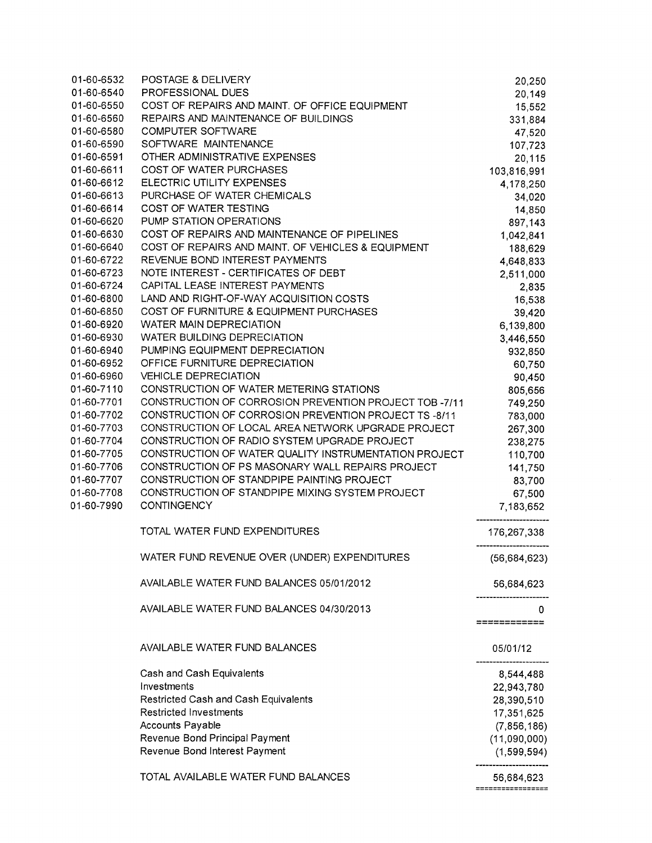| 01-60-6532 | POSTAGE & DELIVERY                                     | 20,250                      |
|------------|--------------------------------------------------------|-----------------------------|
| 01-60-6540 | PROFESSIONAL DUES                                      | 20,149                      |
| 01-60-6550 | COST OF REPAIRS AND MAINT. OF OFFICE EQUIPMENT         | 15,552                      |
| 01-60-6560 | REPAIRS AND MAINTENANCE OF BUILDINGS                   | 331,884                     |
| 01-60-6580 | <b>COMPUTER SOFTWARE</b>                               | 47,520                      |
| 01-60-6590 | SOFTWARE MAINTENANCE                                   | 107,723                     |
| 01-60-6591 | OTHER ADMINISTRATIVE EXPENSES                          | 20,115                      |
| 01-60-6611 | COST OF WATER PURCHASES                                | 103,816,991                 |
| 01-60-6612 | ELECTRIC UTILITY EXPENSES                              | 4,178,250                   |
| 01-60-6613 | PURCHASE OF WATER CHEMICALS                            | 34,020                      |
| 01-60-6614 | COST OF WATER TESTING                                  | 14,850                      |
| 01-60-6620 | PUMP STATION OPERATIONS                                | 897,143                     |
| 01-60-6630 | COST OF REPAIRS AND MAINTENANCE OF PIPELINES           | 1,042,841                   |
| 01-60-6640 | COST OF REPAIRS AND MAINT. OF VEHICLES & EQUIPMENT     | 188,629                     |
| 01-60-6722 | REVENUE BOND INTEREST PAYMENTS                         | 4,648,833                   |
| 01-60-6723 | NOTE INTEREST - CERTIFICATES OF DEBT                   | 2,511,000                   |
| 01-60-6724 | CAPITAL LEASE INTEREST PAYMENTS                        | 2,835                       |
| 01-60-6800 | LAND AND RIGHT-OF-WAY ACQUISITION COSTS                | 16,538                      |
| 01-60-6850 | COST OF FURNITURE & EQUIPMENT PURCHASES                | 39,420                      |
| 01-60-6920 | <b>WATER MAIN DEPRECIATION</b>                         | 6,139,800                   |
| 01-60-6930 | <b>WATER BUILDING DEPRECIATION</b>                     | 3,446,550                   |
| 01-60-6940 | PUMPING EQUIPMENT DEPRECIATION                         | 932,850                     |
| 01-60-6952 | OFFICE FURNITURE DEPRECIATION                          | 60,750                      |
| 01-60-6960 | <b>VEHICLE DEPRECIATION</b>                            | 90,450                      |
| 01-60-7110 | CONSTRUCTION OF WATER METERING STATIONS                | 805,656                     |
| 01-60-7701 | CONSTRUCTION OF CORROSION PREVENTION PROJECT TOB -7/11 | 749,250                     |
| 01-60-7702 | CONSTRUCTION OF CORROSION PREVENTION PROJECT TS -8/11  | 783,000                     |
| 01-60-7703 | CONSTRUCTION OF LOCAL AREA NETWORK UPGRADE PROJECT     | 267,300                     |
| 01-60-7704 | CONSTRUCTION OF RADIO SYSTEM UPGRADE PROJECT           | 238,275                     |
| 01-60-7705 | CONSTRUCTION OF WATER QUALITY INSTRUMENTATION PROJECT  | 110,700                     |
| 01-60-7706 | CONSTRUCTION OF PS MASONARY WALL REPAIRS PROJECT       | 141,750                     |
| 01-60-7707 | CONSTRUCTION OF STANDPIPE PAINTING PROJECT             | 83,700                      |
| 01-60-7708 | CONSTRUCTION OF STANDPIPE MIXING SYSTEM PROJECT        | 67,500                      |
| 01-60-7990 | <b>CONTINGENCY</b>                                     | 7,183,652                   |
|            | TOTAL WATER FUND EXPENDITURES                          | 176,267,338                 |
|            | WATER FUND REVENUE OVER (UNDER) EXPENDITURES           | (56, 684, 623)              |
|            |                                                        |                             |
|            | AVAILABLE WATER FUND BALANCES 05/01/2012               | 56,684,623                  |
|            | AVAILABLE WATER FUND BALANCES 04/30/2013               | 0                           |
|            |                                                        | ============                |
|            | AVAILABLE WATER FUND BALANCES                          | 05/01/12                    |
|            | Cash and Cash Equivalents                              | 8,544,488                   |
|            | Investments                                            | 22,943,780                  |
|            | Restricted Cash and Cash Equivalents                   | 28,390,510                  |
|            | <b>Restricted Investments</b>                          | 17,351,625                  |
|            | Accounts Payable                                       | (7, 856, 186)               |
|            | Revenue Bond Principal Payment                         | (11,090,000)                |
|            | Revenue Bond Interest Payment                          | (1,599,594)                 |
|            |                                                        |                             |
|            | TOTAL AVAILABLE WATER FUND BALANCES                    | 56,684,623<br>------------- |
|            |                                                        |                             |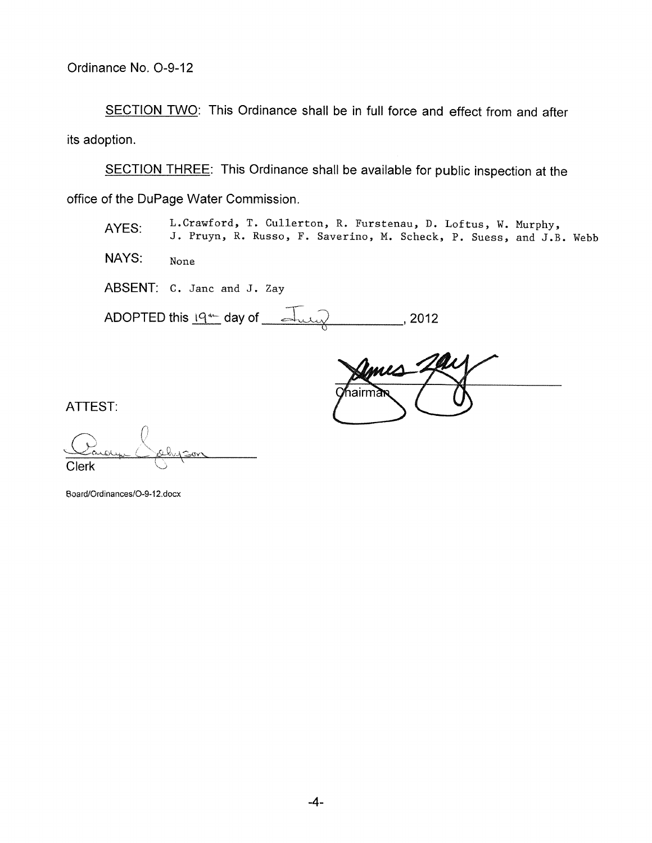SECTION TWO: This Ordinance shall be in full force and effect from and after its adoption.

SECTION THREE: This Ordinance shall be available for public inspection at the office of the DuPage Water Commission.

AYES: L.Crawford, T. Cullerton, R. Furstenau, D. Loftus, W. Murphy, **<sup>J</sup> . Pruyn, R. Russo, F. Saverino , M. Scheck, P. Suess , and J.B.** 

NAYS: None

ABSENT: C. Janc and J. Zay

ADOPTED this  $19^{\text{4--}}$  day of  $\rightarrow$ 

mmes าairmล

**ATTEST:** 

Clerk

Board/Ordinances/0-9-12.docx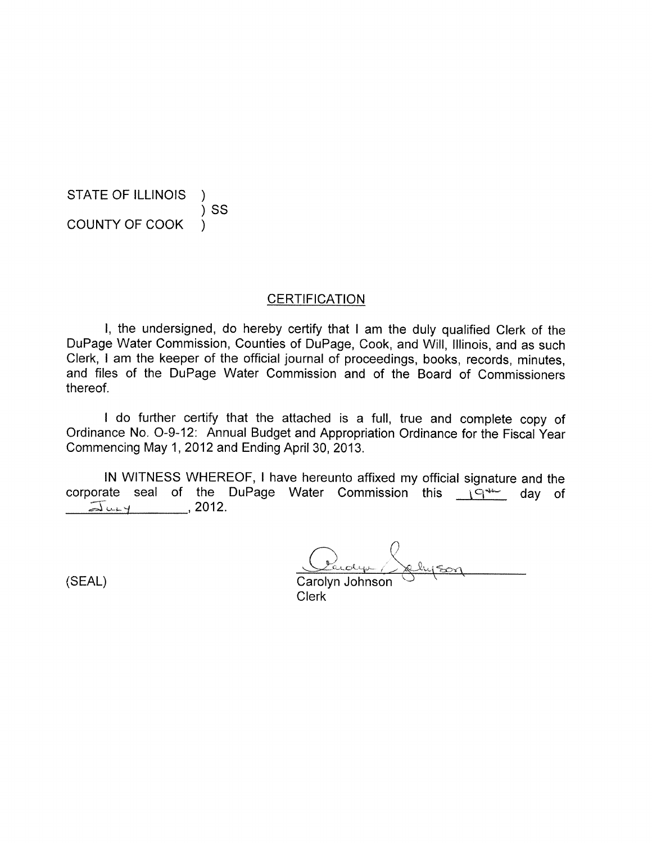STATE OF ILLINOIS ) SS COUNTY OF COOK )

#### **CERTIFICATION**

I, the undersigned, do hereby certify that I am the duly qualified Clerk of the DuPage Water Commission, Counties of DuPage, Cook, and Will, Illinois, and as such Clerk, I am the keeper of the official journal of proceedings, books, records, minutes, and files of the DuPage Water Commission and of the Board of Commissioners thereof.

I do further certify that the attached is a full, true and complete copy of Ordinance No. 0-9-12: Annual Budget and Appropriation Ordinance for the Fiscal Year Commencing May 1, 2012 and Ending April 30, 2013.

IN WITNESS WHEREOF, I have hereunto affixed my official signature and the corporate seal of the DuPage Water Commission this internet day of  $\overline{\Delta}$ ury 12012.

(SEAL)

Carolyn Johnson Clerk